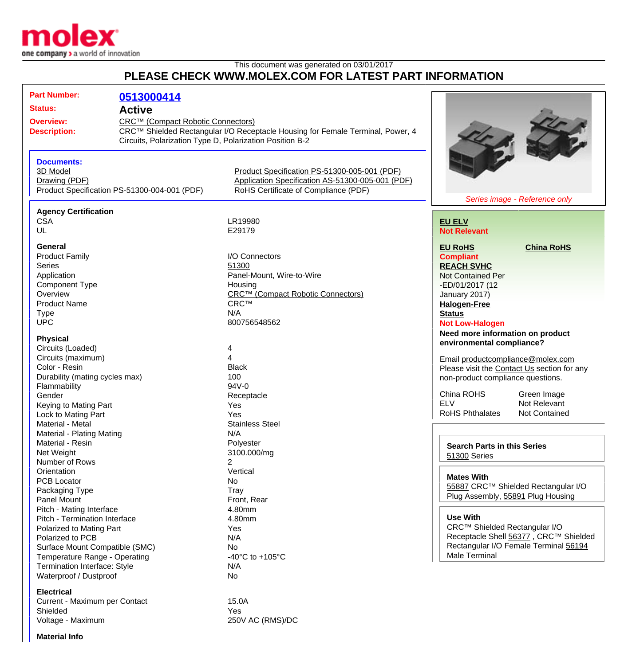

## This document was generated on 03/01/2017 **PLEASE CHECK WWW.MOLEX.COM FOR LATEST PART INFORMATION**

| <b>Part Number:</b><br><b>Status:</b><br><b>Overview:</b><br><b>Description:</b>                                                                                                                                                                                                              | 0513000414<br><b>Active</b><br>CRC™ (Compact Robotic Connectors) | CRC™ Shielded Rectangular I/O Receptacle Housing for Female Terminal, Power, 4<br>Circuits, Polarization Type D, Polarization Position B-2                                                             |                                                                                                                                                                                                                                                                                                                                                                                                                                                                     |
|-----------------------------------------------------------------------------------------------------------------------------------------------------------------------------------------------------------------------------------------------------------------------------------------------|------------------------------------------------------------------|--------------------------------------------------------------------------------------------------------------------------------------------------------------------------------------------------------|---------------------------------------------------------------------------------------------------------------------------------------------------------------------------------------------------------------------------------------------------------------------------------------------------------------------------------------------------------------------------------------------------------------------------------------------------------------------|
| <b>Documents:</b><br>3D Model<br>Drawing (PDF)                                                                                                                                                                                                                                                | Product Specification PS-51300-004-001 (PDF)                     | Product Specification PS-51300-005-001 (PDF)<br>Application Specification AS-51300-005-001 (PDF)<br>RoHS Certificate of Compliance (PDF)                                                               | Series image - Reference only                                                                                                                                                                                                                                                                                                                                                                                                                                       |
|                                                                                                                                                                                                                                                                                               |                                                                  |                                                                                                                                                                                                        |                                                                                                                                                                                                                                                                                                                                                                                                                                                                     |
| <b>Agency Certification</b><br><b>CSA</b><br>UL                                                                                                                                                                                                                                               |                                                                  | LR19980<br>E29179                                                                                                                                                                                      | <b>EU ELV</b><br><b>Not Relevant</b>                                                                                                                                                                                                                                                                                                                                                                                                                                |
| General<br><b>Product Family</b><br><b>Series</b><br>Application<br>Component Type<br>Overview<br><b>Product Name</b><br><b>Type</b><br><b>UPC</b><br><b>Physical</b><br>Circuits (Loaded)<br>Circuits (maximum)<br>Color - Resin<br>Durability (mating cycles max)<br>Flammability<br>Gender |                                                                  | I/O Connectors<br>51300<br>Panel-Mount, Wire-to-Wire<br>Housing<br>CRC™ (Compact Robotic Connectors)<br><b>CRC™</b><br>N/A<br>800756548562<br>4<br>4<br><b>Black</b><br>100<br>$94V - 0$<br>Receptacle | <b>EU RoHS</b><br><b>China RoHS</b><br><b>Compliant</b><br><b>REACH SVHC</b><br><b>Not Contained Per</b><br>-ED/01/2017 (12<br>January 2017)<br><b>Halogen-Free</b><br><b>Status</b><br><b>Not Low-Halogen</b><br>Need more information on product<br>environmental compliance?<br>Email productcompliance@molex.com<br>Please visit the Contact Us section for any<br>non-product compliance questions.<br>China ROHS<br>Green Image<br><b>ELV</b><br>Not Relevant |
| Keying to Mating Part<br>Lock to Mating Part<br>Material - Metal                                                                                                                                                                                                                              |                                                                  | Yes<br>Yes<br><b>Stainless Steel</b>                                                                                                                                                                   | <b>RoHS Phthalates</b><br>Not Contained                                                                                                                                                                                                                                                                                                                                                                                                                             |
| Material - Plating Mating<br>Material - Resin<br>Net Weight<br>Number of Rows                                                                                                                                                                                                                 |                                                                  | N/A<br>Polyester<br>3100.000/mg<br>2                                                                                                                                                                   | <b>Search Parts in this Series</b><br>51300 Series                                                                                                                                                                                                                                                                                                                                                                                                                  |
| Orientation<br><b>PCB Locator</b><br>Packaging Type<br>Panel Mount                                                                                                                                                                                                                            |                                                                  | Vertical<br>No.<br>Tray<br>Front, Rear                                                                                                                                                                 | <b>Mates With</b><br>55887 CRC™ Shielded Rectangular I/O<br>Plug Assembly, 55891 Plug Housing                                                                                                                                                                                                                                                                                                                                                                       |
| Pitch - Mating Interface<br>Pitch - Termination Interface<br>Polarized to Mating Part<br>Polarized to PCB<br>Surface Mount Compatible (SMC)<br>Temperature Range - Operating<br>Termination Interface: Style<br>Waterproof / Dustproof                                                        |                                                                  | 4.80mm<br>4.80mm<br>Yes<br>N/A<br>No<br>-40°C to +105°C<br>N/A<br>No                                                                                                                                   | <b>Use With</b><br>CRC™ Shielded Rectangular I/O<br>Receptacle Shell 56377, CRC™ Shielded<br>Rectangular I/O Female Terminal 56194<br>Male Terminal                                                                                                                                                                                                                                                                                                                 |
| <b>Electrical</b><br>Current - Maximum per Contact<br>Shielded                                                                                                                                                                                                                                |                                                                  | 15.0A<br>Yes                                                                                                                                                                                           |                                                                                                                                                                                                                                                                                                                                                                                                                                                                     |

Voltage - Maximum 250V AC (RMS)/DC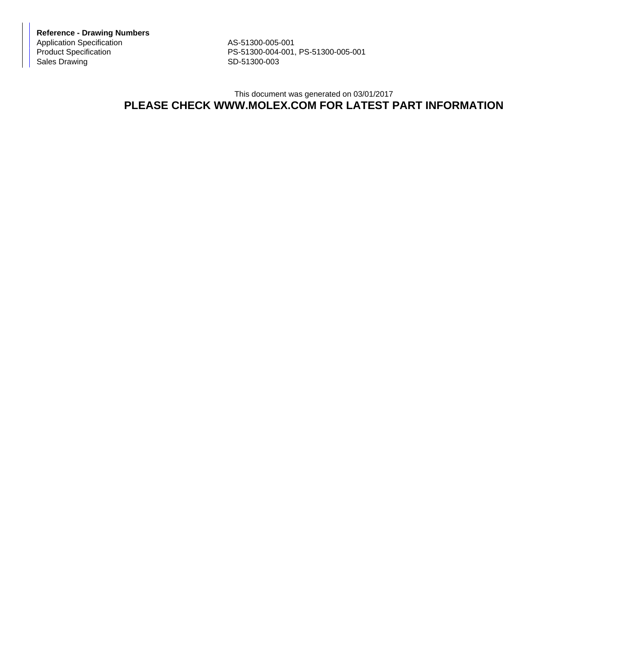**Reference - Drawing Numbers** Application Specification AS-51300-005-001<br>Product Specification AS-51300-004-001,

Product Specification <br>
Sales Drawing **PS-51300-004-001, PS-51300-005-001**<br>
SD-51300-003 SD-51300-003

## This document was generated on 03/01/2017 **PLEASE CHECK WWW.MOLEX.COM FOR LATEST PART INFORMATION**